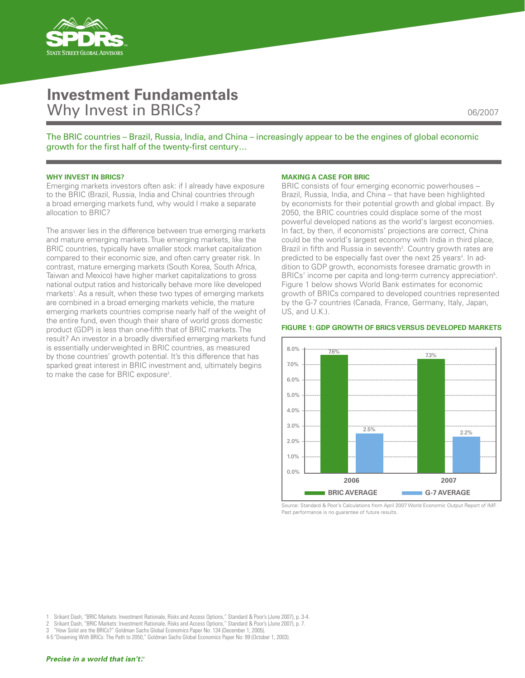

# **Investment Fundamentals** Why Invest in BRICs? **06/2007**

The BRIC countries – Brazil, Russia, India, and China – increasingly appear to be the engines of global economic growth for the first half of the twenty-first century…

# **WHY INVEST IN BRICS?**

Emerging markets investors often ask: if I already have exposure to the BRIC (Brazil, Russia, India and China) countries through a broad emerging markets fund, why would I make a separate allocation to BRIC?

The answer lies in the difference between true emerging markets and mature emerging markets. True emerging markets, like the BRIC countries, typically have smaller stock market capitalization compared to their economic size, and often carry greater risk. In contrast, mature emerging markets (South Korea, South Africa, Taiwan and Mexico) have higher market capitalizations to gross national output ratios and historically behave more like developed markets<sup>1</sup>. As a result, when these two types of emerging markets are combined in a broad emerging markets vehicle, the mature emerging markets countries comprise nearly half of the weight of the entire fund, even though their share of world gross domestic product (GDP) is less than one-fifth that of BRIC markets. The result? An investor in a broadly diversified emerging markets fund is essentially underweighted in BRIC countries, as measured by those countries' growth potential. It's this difference that has sparked great interest in BRIC investment and, ultimately begins to make the case for BRIC exposure<sup>2</sup>.

# **Making A Case For BRIC**

BRIC consists of four emerging economic powerhouses – Brazil, Russia, India, and China – that have been highlighted by economists for their potential growth and global impact. By 2050, the BRIC countries could displace some of the most powerful developed nations as the world's largest economies. In fact, by then, if economists' projections are correct, China could be the world's largest economy with India in third place, Brazil in fifth and Russia in seventh<sup>3</sup>. Country growth rates are predicted to be especially fast over the next 25 years<sup>4</sup>. In addition to GDP growth, economists foresee dramatic growth in BRICs' income per capita and long-term currency appreciation<sup>5</sup>. Figure 1 below shows World Bank estimates for economic growth of BRICs compared to developed countries represented by the G-7 countries (Canada, France, Germany, Italy, Japan, US, and U.K.).



#### **Figure 1: GDP Growth of BRICs Versus Developed Markets**

Source: Standard & Poor's Calculations from April 2007 World Economic Output Report of IMF. Past performance is no guarantee of future results.

<sup>1</sup> Srikant Dash, "BRIC Markets: Investment Rationale, Risks and Access Options," Standard & Poor's (June 2007), p. 3-4.

Srikant Dash, "BRIC Markets: Investment Rationale, Risks and Access Options," Standard & Poor's (June 2007), p. 7.

<sup>3 &</sup>quot;How Solid are the BRICs?" Goldman Sachs Global Economics Paper No: 134 (December 1, 2005).

<sup>4-5 &</sup>quot;Dreaming With BRICs: The Path to 2050," Goldman Sachs Global Economics Paper No: 99 (October 1, 2003).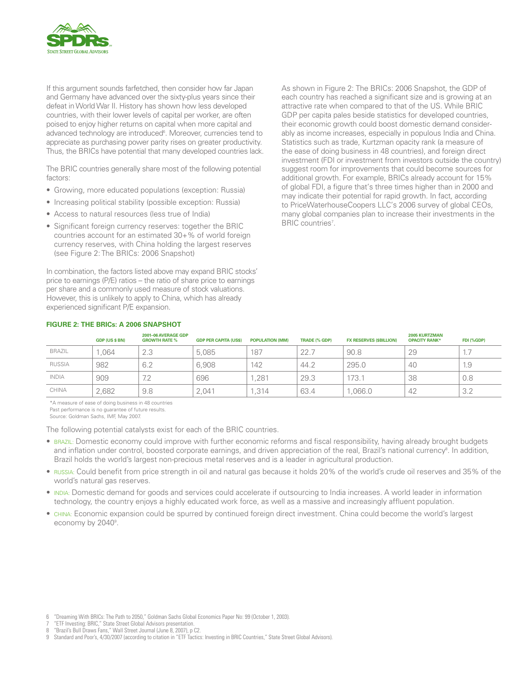

If this argument sounds farfetched, then consider how far Japan and Germany have advanced over the sixty-plus years since their defeat in World War II. History has shown how less developed countries, with their lower levels of capital per worker, are often poised to enjoy higher returns on capital when more capital and advanced technology are introduced<sup>6</sup>. Moreover, currencies tend to appreciate as purchasing power parity rises on greater productivity. Thus, the BRICs have potential that many developed countries lack.

The BRIC countries generally share most of the following potential factors:

- Growing, more educated populations (exception: Russia)
- Increasing political stability (possible exception: Russia)
- Access to natural resources (less true of India)
- Significant foreign currency reserves: together the BRIC countries account for an estimated 30+% of world foreign currency reserves, with China holding the largest reserves (see Figure 2: The BRICs: 2006 Snapshot)

In combination, the factors listed above may expand BRIC stocks' price to earnings (P/E) ratios – the ratio of share price to earnings per share and a commonly used measure of stock valuations. However, this is unlikely to apply to China, which has already experienced significant P/E expansion.

As shown in Figure 2: The BRICs: 2006 Snapshot, the GDP of each country has reached a significant size and is growing at an attractive rate when compared to that of the US. While BRIC GDP per capita pales beside statistics for developed countries, their economic growth could boost domestic demand considerably as income increases, especially in populous India and China. Statistics such as trade, Kurtzman opacity rank (a measure of the ease of doing business in 48 countries), and foreign direct investment (FDI or investment from investors outside the country) suggest room for improvements that could become sources for additional growth. For example, BRICs already account for 15% of global FDI, a figure that's three times higher than in 2000 and may indicate their potential for rapid growth. In fact, according to PriceWaterhouseCoopers LLC's 2006 survey of global CEOs, many global companies plan to increase their investments in the BRIC countries<sup>7</sup>.

|               | <b>GDP (US \$ BN)</b> | 2001-06 AVERAGE GDP<br><b>GROWTH RATE %</b> | <b>GDP PER CAPITA (US\$)</b> | <b>POPULATION (MM)</b> | <b>TRADE (% GDP)</b> | <b>FX RESERVES (SBILLION)</b> | <b>2005 KURTZMAN</b><br><b>OPACITY RANK*</b> | FDI (%GDP) |
|---------------|-----------------------|---------------------------------------------|------------------------------|------------------------|----------------------|-------------------------------|----------------------------------------------|------------|
| <b>BRAZIL</b> | .064                  | 2.3                                         | 5,085                        | 187                    | 22.7                 | 90.8                          | 29                                           | $\cdots$   |
| <b>RUSSIA</b> | 982                   | 6.2                                         | 6.908                        | 142                    | 44.2                 | 295.0                         | 40                                           | 1.9        |
| <b>INDIA</b>  | 909                   | 7.2                                         | 696                          | .281                   | 29.3                 | 173.7                         | 38                                           | 0.8        |
| CHINA         | 2.682                 | 9.8                                         | 2.041                        | .314                   | 63.4                 | ,066.0                        | 42                                           | 3.2        |

# **Figure 2: The BRICs: A 2006 Snapshot**

\*A measure of ease of doing business in 48 countries

Past performance is no guarantee of future results.

Source: Goldman Sachs, IMF, May 2007.

The following potential catalysts exist for each of the BRIC countries.

- Brazil: Domestic economy could improve with further economic reforms and fiscal responsibility, having already brought budgets and inflation under control, boosted corporate earnings, and driven appreciation of the real, Brazil's national currency<sup>8</sup>. In addition, Brazil holds the world's largest non-precious metal reserves and is a leader in agricultural production.
- Russia: Could benefit from price strength in oil and natural gas because it holds 20% of the world's crude oil reserves and 35% of the world's natural gas reserves.
- India: Domestic demand for goods and services could accelerate if outsourcing to India increases. A world leader in information technology, the country enjoys a highly educated work force, as well as a massive and increasingly affluent population.
- China: Economic expansion could be spurred by continued foreign direct investment. China could become the world's largest economy by 2040<sup>9</sup>.

- "ETF Investing: BRIC," State Street Global Advisors presentation.
- 8 "Brazil's Bull Draws Fans," Wall Street Journal (June 8, 2007), p C2.
- 9 Standard and Poor's, 4/30/2007 (according to citation in "ETF Tactics: Investing in BRIC Countries," State Street Global Advisors).

<sup>6 &</sup>quot;Dreaming With BRICs: The Path to 2050," Goldman Sachs Global Economics Paper No: 99 (October 1, 2003).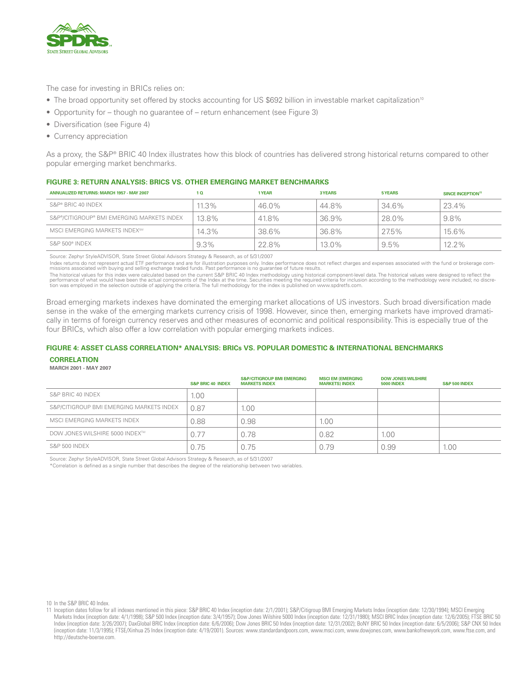

The case for investing in BRICs relies on:

- The broad opportunity set offered by stocks accounting for US \$692 billion in investable market capitalization<sup>10</sup>
- Opportunity for though no guarantee of return enhancement (see Figure 3)
- Diversification (see Figure 4)
- Currency appreciation

As a proxy, the S&P® BRIC 40 Index illustrates how this block of countries has delivered strong historical returns compared to other popular emerging market benchmarks.

# **Figure 3: RETURN ANALYSIS: BRICS VS. OTHER EMERGING MARKET BENCHMARKS**

| <b>ANNUALIZED RETURNS: MARCH 1957 - MAY 2007</b> | 1 <sub>0</sub> | 1 YEAR | 3 YEARS  | 5 YEARS | SINCE INCEPTION <sup>11</sup> |
|--------------------------------------------------|----------------|--------|----------|---------|-------------------------------|
| S&P® BRIC 40 INDEX                               | $11.3\%$       | 46.0%  | 44.8%    | 34.6%   | 23.4%                         |
| S&P®/CITIGROUP® BMI EMERGING MARKETS INDEX       | 13.8%          | 41.8%  | 36.9%    | 28.0%   | 9.8%                          |
| MSCI EMERGING MARKETS INDEX <sup>5M</sup>        | 14.3%          | 38.6%  | 36.8%    | 27.5%   | 15.6%                         |
| S&P 500® INDEX                                   | 9.3%           | 22.8%  | $13.0\%$ | $9.5\%$ | $12.2\%$                      |

Source: Zephyr StyleADVISOR, State Street Global Advisors Strategy & Research, as of 5/31/2007

Index returns do not represent actual ETF performance and are for illustration purposes only. Index performance does not reflect charges and expenses associated with the fund or brokerage commissions associated with the fu

The historical values for this index were calculated based on the current S&P BRIC 40 Index methodology using historical component-level data. The historical values were designed to reflect the<br>performance of what would ha

Broad emerging markets indexes have dominated the emerging market allocations of US investors. Such broad diversification made sense in the wake of the emerging markets currency crisis of 1998. However, since then, emerging markets have improved dramatically in terms of foreign currency reserves and other measures of economic and political responsibility. This is especially true of the four BRICs, which also offer a low correlation with popular emerging markets indices.

# **Figure 4: ASSET CLASS CORRELATION\* ANALYSIS: BRICs VS. POPULAR DOMESTIC & INTERNATIONAL BENCHMARKS**

#### **CORRELATION**

#### **March 2001 - May 2007**

|                                          | <b>S&amp;P BRIC 40 INDEX</b> | <b>S&amp;P/CITIGROUP BMI EMERGING</b><br><b>MARKETS INDEX</b> | <b>MSCI EM (EMERGING</b><br><b>MARKETS) INDEX</b> | <b>DOW JONES WILSHIRE</b><br><b>5000 INDEX</b> | <b>S&amp;P 500 INDEX</b> |
|------------------------------------------|------------------------------|---------------------------------------------------------------|---------------------------------------------------|------------------------------------------------|--------------------------|
| S&P BRIC 40 INDEX                        | 1.00                         |                                                               |                                                   |                                                |                          |
| S&P/CITIGROUP BMI EMERGING MARKETS INDEX | 0.87                         | 00 <sub>1</sub>                                               |                                                   |                                                |                          |
| MSCI EMERGING MARKETS INDEX              | 0.88                         | 0.98                                                          | 1.00                                              |                                                |                          |
| DOW JONES WILSHIRE 5000 INDEX™           | 0.77                         | 0.78                                                          | 0.82                                              | 1.00                                           |                          |
| <b>S&amp;P 500 INDEX</b>                 | 0.75                         | 0.75                                                          | 0.79                                              | 0.99                                           | 1.00                     |

Source: Zephyr StyleADVISOR, State Street Global Advisors Strategy & Research, as of 5/31/2007

\*Correlation is defined as a single number that describes the degree of the relationship between two variables.

<sup>10</sup> In the S&P BRIC 40 Index.

<sup>11</sup> Inception dates follow for all indexes mentioned in this piece: S&P BRIC 40 Index (inception date: 2/1/2001); S&P/Citigroup BMI Emerging Markets Index (inception date: 12/30/1994); MSCI Emerging Markets Index (inception date: 4/1/1998); S&P 500 Index (inception date: 3/4/1957); Dow Jones Wilshire 5000 Index (inception date: 12/31/1980); MSCI BRIC Index (inception date: 12/5/2005); FTSE BRIC 50 Index (inception date: 3/26/2007); DaxGlobal BRIC Index (inception date: 6/6/2006); Dow Jones BRIC 50 Index (inception date: 12/31/2002); BoNY BRIC 50 Index (inception date: 6/5/2006); S&P CNX 50 Index (inception date: 11/3/1995); FTSE/Xinhua 25 Index (inception date: 4/19/2001). Sources: www.standardandpoors.com, www.msci.com, www.dowjones.com, www.bankofnewyork.com, www.ftse.com, and http://deutsche-boerse.com.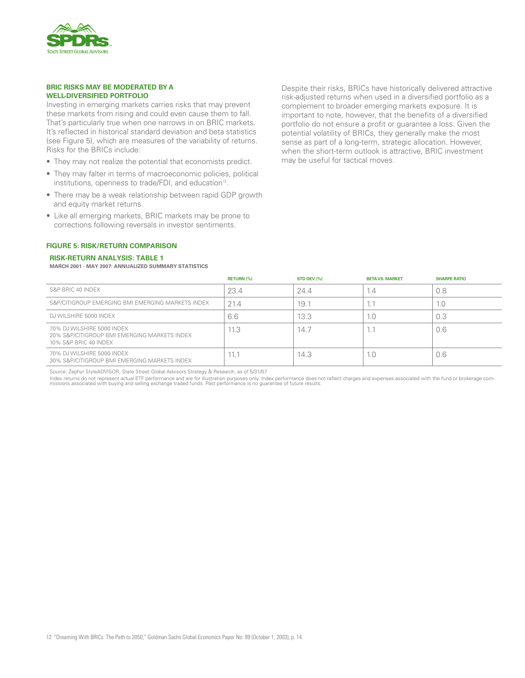

# **BRIC RISKS MAY BE MODERATED BY A WELL-DIVERSIFIED PORTFOLIO**

Investing in emerging markets carries risks that may prevent these markets from rising and could even cause them to fall. That's particularly true when one narrows in on BRIC markets. It's reflected in historical standard deviation and beta statistics (see Figure 5), which are measures of the variability of returns. Risks for the BRICs include:

- They may not realize the potential that economists predict.
- They may falter in terms of macroeconomic policies, political institutions, openness to trade/FDI, and education<sup>12</sup>.
- There may be a weak relationship between rapid GDP growth and equity market returns.
- Like all emerging markets, BRIC markets may be prone to corrections following reversals in investor sentiments.

# important to note, however, that the benefits of a diversified portfolio do not ensure a profit or guarantee a loss. Given the potential volatility of BRICs, they generally make the most sense as part of a long-term, strategic allocation. However, when the short-term outlook is attractive, BRIC investment may be useful for tactical moves.

Despite their risks, BRICs have historically delivered attractive risk-adjusted returns when used in a diversified portfolio as a complement to broader emerging markets exposure. It is

# **Figure 5: RISK/RETURN COMPARISON**

#### **Risk-Return Analysis: Table 1**

**March 2001 - May 2007: Annualized Summary Statistics**

|                                                                                                     | <b>RETURN (%)</b> | STD DEV (%) | <b>BETA VS. MARKET</b> | <b>SHARPE RATIO</b> |
|-----------------------------------------------------------------------------------------------------|-------------------|-------------|------------------------|---------------------|
| S&P BRIC 40 INDEX                                                                                   | 23.4              | 24.4        | 1.4                    | 0.8                 |
| S&P/CITIGROUP EMERGING BMI EMERGING MARKETS INDEX                                                   | 21.4              | 19.7        | 1.1                    | 1.0                 |
| DJ WILSHIRE 5000 INDEX                                                                              | 6.6               | 13.3        | 1.0                    | 0.3                 |
| 70% DJ WILSHIRE 5000 INDEX<br>20% S&P/CITIGROUP BMI EMERGING MARKETS INDEX<br>10% S&P BRIC 40 INDEX | 11.3              | 14.7        | $\mathbf{L}$           | 0.6                 |
| 70% DJ WILSHIRE 5000 INDEX<br>30% S&P/CITIGROUP BMI EMERGING MARKETS INDEX                          | 11.1              | 14.3        | 1.0                    | 0.6                 |

Source: Zephyr StyleADVISOR, State Street Global Advisors Strategy & Research, as of 5/31/07

ndex returns do not represent actual ETF performance and are for illustration purposes only. Index performance does not reflect charges and expenses associated with the fund or brokerage com-<br>missions associated with buyin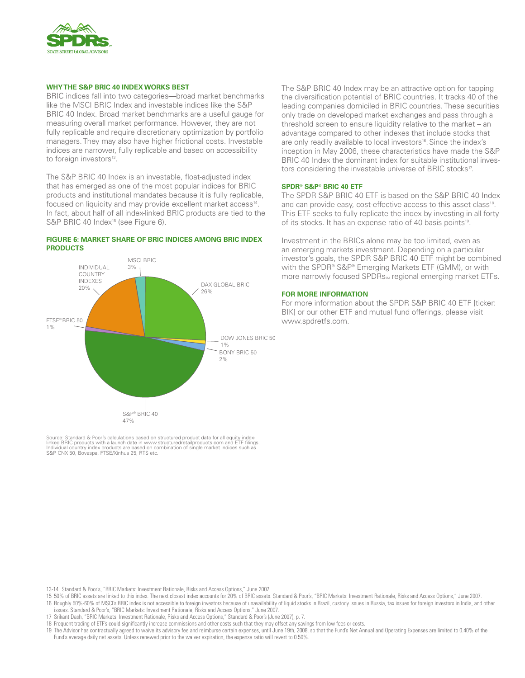

# **WHY THE S&P BRIC 40 INDEX WORKS BEST**

BRIC indices fall into two categories—broad market benchmarks like the MSCI BRIC Index and investable indices like the S&P BRIC 40 Index. Broad market benchmarks are a useful gauge for measuring overall market performance. However, they are not fully replicable and require discretionary optimization by portfolio managers. They may also have higher frictional costs. Investable indices are narrower, fully replicable and based on accessibility to foreign investors<sup>13</sup>.

The S&P BRIC 40 Index is an investable, float-adjusted index that has emerged as one of the most popular indices for BRIC products and institutional mandates because it is fully replicable, focused on liquidity and may provide excellent market access<sup>14</sup>. In fact, about half of all index-linked BRIC products are tied to the S&P BRIC 40 Index<sup>15</sup> (see Figure 6).

### **Figure 6: Market Share of BRIC Indices Among BRIC Index Products**



Source: Standard & Poor's calculations based on structured product data for all equity indexlinked BRIC products with a launch date in www.structuredretailproducts.com and ETF filings.<br>Individual country index products are based on combination of single market indices such as<br>S&P CNX 50, Bovespa, FTSE/Xinhua 25, The S&P BRIC 40 Index may be an attractive option for tapping the diversification potential of BRIC countries. It tracks 40 of the leading companies domiciled in BRIC countries. These securities only trade on developed market exchanges and pass through a threshold screen to ensure liquidity relative to the market – an advantage compared to other indexes that include stocks that are only readily available to local investors<sup>16</sup>. Since the index's inception in May 2006, these characteristics have made the S&P BRIC 40 Index the dominant index for suitable institutional investors considering the investable universe of BRIC stocks<sup>17</sup>.

# **SPDR® S&P® BRIC 40 ETF**

The SPDR S&P BRIC 40 ETF is based on the S&P BRIC 40 Index and can provide easy, cost-effective access to this asset class<sup>18</sup>. This ETF seeks to fully replicate the index by investing in all forty of its stocks. It has an expense ratio of 40 basis points<sup>19</sup>.

Investment in the BRICs alone may be too limited, even as an emerging markets investment. Depending on a particular investor's goals, the SPDR S&P BRIC 40 ETF might be combined with the SPDR® S&P® Emerging Markets ETF (GMM), or with more narrowly focused SPDRs<sub>sM</sub> regional emerging market ETFs.

# **FOR MORE INFORMATION**

For more information about the SPDR S&P BRIC 40 ETF [ticker: BIK] or our other ETF and mutual fund offerings, please visit www.spdretfs.com.

- 13-14 Standard & Poor's, "BRIC Markets: Investment Rationale, Risks and Access Options," June 2007.
- 15 50% of BRIC assets are linked to this index. The next closest index accounts for 20% of BRIC assets. Standard & Poor's, "BRIC Markets: Investment Rationale, Risks and Access Options," June 2007. 16 Roughly 50%-60% of MSCI's BRIC index is not accessible to foreign investors because of unavailability of liquid stocks in Brazil, custody issues in Russia, tax issues for foreign investors in India, and other
- issues. Standard & Poor's, "BRIC Markets: Investment Rationale, Risks and Access Options," June 2007.
- 17 Srikant Dash, "BRIC Markets: Investment Rationale, Risks and Access Options," Standard & Poor's (June 2007), p. 7.
- 18 Frequent trading of ETF's could significantly increase commissions and other costs such that they may offset any savings from low fees or costs.
- 19 The Advisor has contractually agreed to waive its advisory fee and reimburse certain expenses, until June 19th, 2008, so that the Fund's Net Annual and Operating Expenses are limited to 0.40% of the Fund's average daily net assets. Unless renewed prior to the waiver expiration, the expense ratio will revert to 0.50%.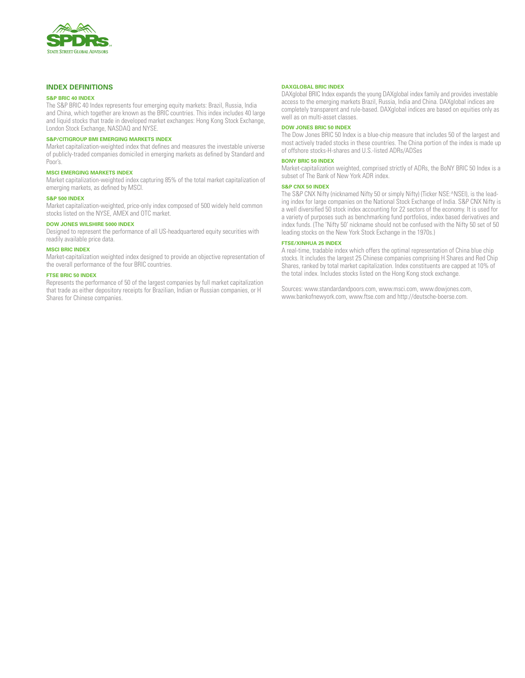

# **Index Definitions**

# **S&P BRIC 40 Index**

The S&P BRIC 40 Index represents four emerging equity markets: Brazil, Russia, India and China, which together are known as the BRIC countries. This index includes 40 large and liquid stocks that trade in developed market exchanges: Hong Kong Stock Exchange, London Stock Exchange, NASDAQ and NYSE.

# **S&P/Citigroup BMI Emerging Markets Index**

Market capitalization-weighted index that defines and measures the investable universe of publicly-traded companies domiciled in emerging markets as defined by Standard and Poor's.

#### **MSCI Emerging Markets Index**

Market capitalization-weighted index capturing 85% of the total market capitalization of emerging markets, as defined by MSCI.

#### **S&P 500 Index**

Market capitalization-weighted, price-only index composed of 500 widely held common stocks listed on the NYSE, AMEX and OTC market.

#### **Dow Jones Wilshire 5000 Index**

Designed to represent the performance of all US-headquartered equity securities with readily available price data.

# **MSCI BRIC Index**

Market-capitalization weighted index designed to provide an objective representation of the overall performance of the four BRIC countries.

#### **FTSE BRIC 50 Index**

Represents the performance of 50 of the largest companies by full market capitalization that trade as either depository receipts for Brazilian, Indian or Russian companies, or H Shares for Chinese companies.

#### **DaxGlobal BRIC Index**

DAXglobal BRIC Index expands the young DAXglobal index family and provides investable access to the emerging markets Brazil, Russia, India and China. DAXglobal indices are completely transparent and rule-based. DAXglobal indices are based on equities only as well as on multi-asset classes.

# **Dow Jones BRIC 50 Index**

The Dow Jones BRIC 50 Index is a blue-chip measure that includes 50 of the largest and most actively traded stocks in these countries. The China portion of the index is made up of offshore stocks-H-shares and U.S.-listed ADRs/ADSes

#### **BoNY BRIC 50 Index**

Market-capitalization weighted, comprised strictly of ADRs, the BoNY BRIC 50 Index is a subset of The Bank of New York ADR index.

### **S&P CNX 50 Index**

The S&P CNX Nifty (nicknamed Nifty 50 or simply Nifty) (Ticker NSE:^NSEI), is the leading index for large companies on the National Stock Exchange of India. S&P CNX Nifty is a well diversified 50 stock index accounting for 22 sectors of the economy. It is used for a variety of purposes such as benchmarking fund portfolios, index based derivatives and index funds. (The 'Nifty 50' nickname should not be confused with the Nifty 50 set of 50 leading stocks on the New York Stock Exchange in the 1970s.)

# **FTSE/Xinhua 25 Index**

A real-time, tradable index which offers the optimal representation of China blue chip stocks. It includes the largest 25 Chinese companies comprising H Shares and Red Chip Shares, ranked by total market capitalization. Index constituents are capped at 10% of the total index. Includes stocks listed on the Hong Kong stock exchange.

Sources: www.standardandpoors.com, www.msci.com, www.dowjones.com, www.bankofnewyork.com, www.ftse.com and http://deutsche-boerse.com.